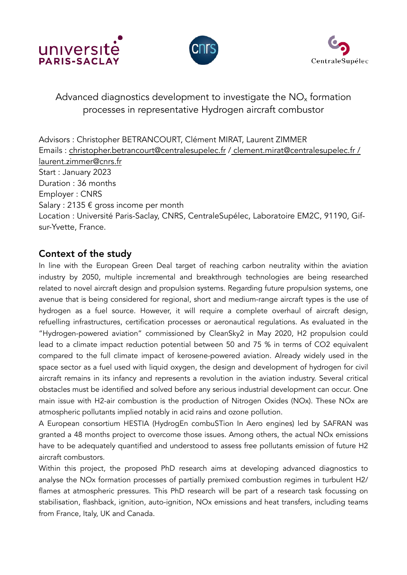





# Advanced diagnostics development to investigate the  $NO<sub>x</sub>$  formation processes in representative Hydrogen aircraft combustor

Advisors : Christopher BETRANCOURT, Clément MIRAT, Laurent ZIMMER Emails : [christopher.betrancourt@centralesupelec.fr](mailto:christopher.betrancourt@centralesupelec.fr) / [clement.mirat@centralesupelec.fr](mailto:clement.mirat@centralesupelec.fr) / [laurent.zimmer@cnrs.fr](mailto:laurent.zimmer@cnrs.fr) Start : January 2023 Duration : 36 months Employer : CNRS Salary : 2135 € gross income per month Location : Université Paris-Saclay, CNRS, CentraleSupélec, Laboratoire EM2C, 91190, Gifsur-Yvette, France.

## Context of the study

In line with the European Green Deal target of reaching carbon neutrality within the aviation industry by 2050, multiple incremental and breakthrough technologies are being researched related to novel aircraft design and propulsion systems. Regarding future propulsion systems, one avenue that is being considered for regional, short and medium-range aircraft types is the use of hydrogen as a fuel source. However, it will require a complete overhaul of aircraft design, refuelling infrastructures, certification processes or aeronautical regulations. As evaluated in the "Hydrogen-powered aviation" commissioned by CleanSky2 in May 2020, H2 propulsion could lead to a climate impact reduction potential between 50 and 75 % in terms of CO2 equivalent compared to the full climate impact of kerosene-powered aviation. Already widely used in the space sector as a fuel used with liquid oxygen, the design and development of hydrogen for civil aircraft remains in its infancy and represents a revolution in the aviation industry. Several critical obstacles must be identified and solved before any serious industrial development can occur. One main issue with H2-air combustion is the production of Nitrogen Oxides (NOx). These NOx are atmospheric pollutants implied notably in acid rains and ozone pollution.

A European consortium HESTIA (HydrogEn combuSTion In Aero engines) led by SAFRAN was granted a 48 months project to overcome those issues. Among others, the actual NOx emissions have to be adequately quantified and understood to assess free pollutants emission of future H2 aircraft combustors.

Within this project, the proposed PhD research aims at developing advanced diagnostics to analyse the NOx formation processes of partially premixed combustion regimes in turbulent H2/ flames at atmospheric pressures. This PhD research will be part of a research task focussing on stabilisation, flashback, ignition, auto-ignition, NOx emissions and heat transfers, including teams from France, Italy, UK and Canada.